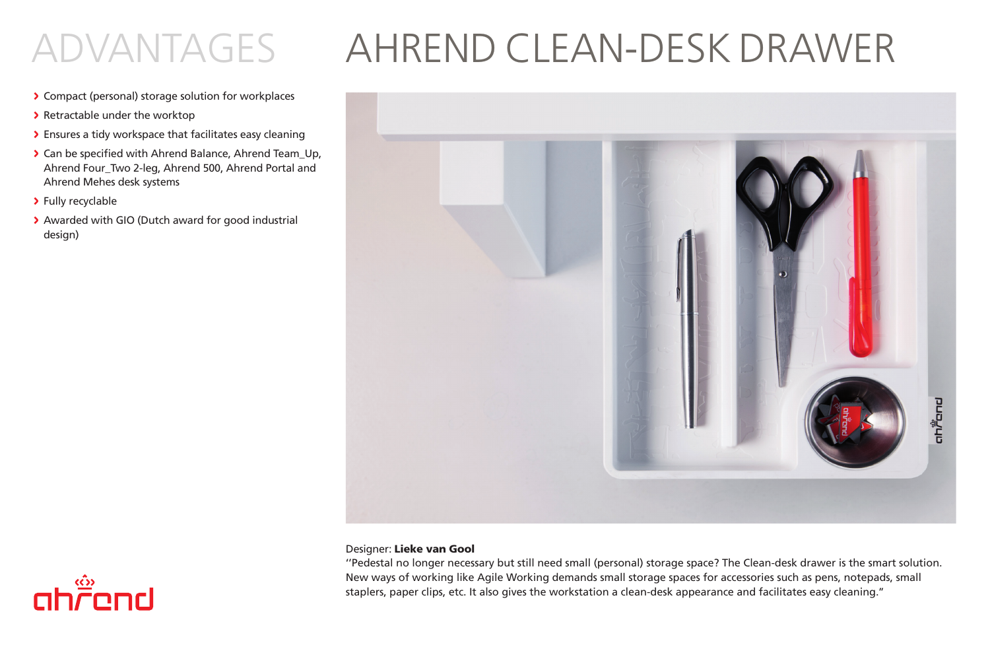# ADVANTAGES AHREND CLEAN-DESK DRAWER

- > Compact (personal) storage solution for workplaces
- > Retractable under the worktop
- > Ensures a tidy workspace that facilitates easy cleaning
- > Can be specified with Ahrend Balance, Ahrend Team\_Up, Ahrend Four\_Two 2-leg, Ahrend 500, Ahrend Portal and Ahrend Mehes desk systems
- > Fully recyclable
- > Awarded with GIO (Dutch award for good industrial design)



### Designer: Lieke van Gool

''Pedestal no longer necessary but still need small (personal) storage space? The Clean-desk drawer is the smart solution. New ways of working like Agile Working demands small storage spaces for accessories such as pens, notepads, small staplers, paper clips, etc. It also gives the workstation a clean-desk appearance and facilitates easy cleaning.''